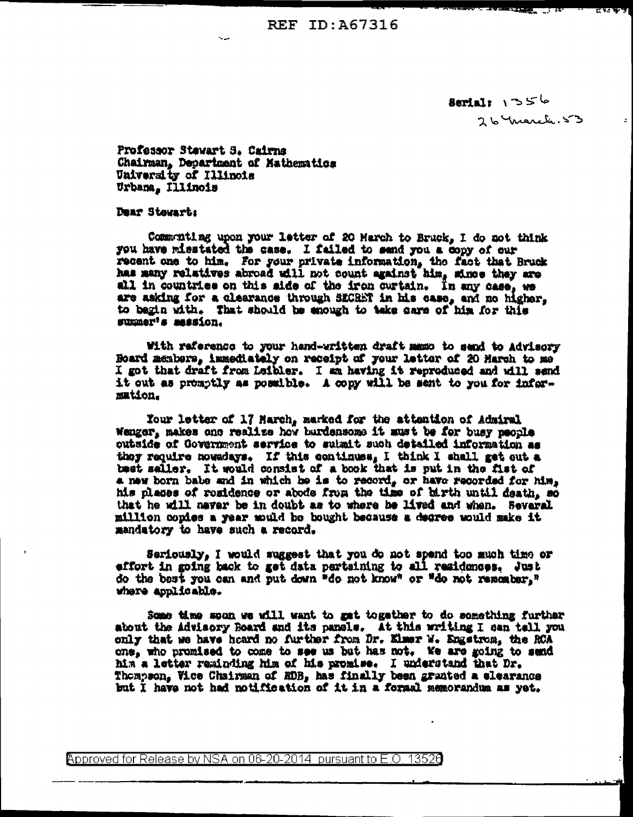REF ID: 467316

 $S$ erial:  $1^35^6$ 26 Yuarch. 53 **KY 3 W 3** 

 $\pm$ 

Professor Stewart 5. Cairns Chairman, Department of Mathematics University of Illinois Urbana, Illinois

Dear Stewart:

Communiting upon your letter of 20 Harch to Bruck, I do not think you have misstated the case. I failed to send you a copy of our recent one to him. For your private information, the fact that Bruck has sany relatives abroad will not count egainst him, since they are all in countries on this side of the iron curtain. In any case, we are asking for a clearance through SECRET in his case, and no higher, to begin with. That should be enough to take care of him for this summer's mession.

With reference to your hand-written draft mano to send to Advisory Board members, immediately on receipt of your latter of 20 March to me I got that draft from Leibler. I am having it reproduced and will send it out as promptly as possible. A copy will be sent to you for information.

Your letter of 17 March, marked for the attention of Admiral Wenger, makes one realize how burdensome it must be for busy people outside of Covernment service to submit such detailed information as they require nowadays. If this continues, I think I shall get out a best saller. It would consist of a book that is put in the fist of a new born babe and in which he is to record, or have recorded for him, his planes of residence or abode from the time of birth until death. so that he will naver be in doubt as to where he lived and when. Several million copies a year mould be bought because a degree would make it mandatory to have such a record.

Seriously, I would suggest that you do not spend too much time or effort in going back to get data pertsining to all residences. Just do the best you can and put down "do not know" or "do not remember," where applicable.

Some time soon we will want to get together to do something further about the Advisory Board and its panels. At this writing I can tell you only that we have heard no further from Dr. Elmer W. Engstron, the RCA one, who promised to come to see us but has not. We are going to send him a letter reminding him of his promise. I understand that Dr. Thompson, Vice Chairman of ROB, has finally been granted a elearance but I have not had notification of it in a formal memorandum as yet.

Approved for Release by NSA on 06-20-2014 pursuant to E.O. 13526